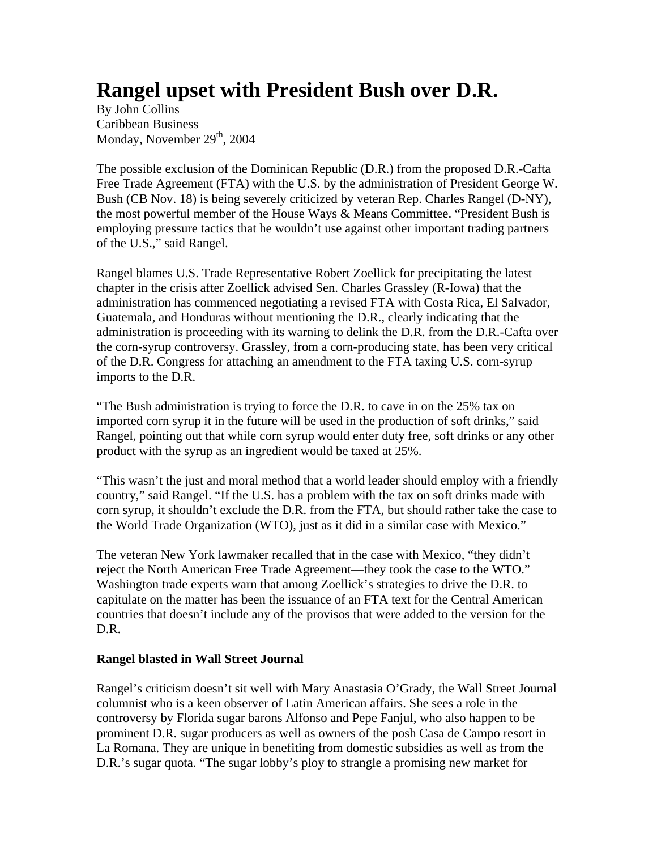## **Rangel upset with President Bush over D.R.**

By John Collins Caribbean Business Monday, November  $29<sup>th</sup>$ , 2004

The possible exclusion of the Dominican Republic (D.R.) from the proposed D.R.-Cafta Free Trade Agreement (FTA) with the U.S. by the administration of President George W. Bush (CB Nov. 18) is being severely criticized by veteran Rep. Charles Rangel (D-NY), the most powerful member of the House Ways & Means Committee. "President Bush is employing pressure tactics that he wouldn't use against other important trading partners of the U.S.," said Rangel.

Rangel blames U.S. Trade Representative Robert Zoellick for precipitating the latest chapter in the crisis after Zoellick advised Sen. Charles Grassley (R-Iowa) that the administration has commenced negotiating a revised FTA with Costa Rica, El Salvador, Guatemala, and Honduras without mentioning the D.R., clearly indicating that the administration is proceeding with its warning to delink the D.R. from the D.R.-Cafta over the corn-syrup controversy. Grassley, from a corn-producing state, has been very critical of the D.R. Congress for attaching an amendment to the FTA taxing U.S. corn-syrup imports to the D.R.

"The Bush administration is trying to force the D.R. to cave in on the 25% tax on imported corn syrup it in the future will be used in the production of soft drinks," said Rangel, pointing out that while corn syrup would enter duty free, soft drinks or any other product with the syrup as an ingredient would be taxed at 25%.

"This wasn't the just and moral method that a world leader should employ with a friendly country," said Rangel. "If the U.S. has a problem with the tax on soft drinks made with corn syrup, it shouldn't exclude the D.R. from the FTA, but should rather take the case to the World Trade Organization (WTO), just as it did in a similar case with Mexico."

The veteran New York lawmaker recalled that in the case with Mexico, "they didn't reject the North American Free Trade Agreement—they took the case to the WTO." Washington trade experts warn that among Zoellick's strategies to drive the D.R. to capitulate on the matter has been the issuance of an FTA text for the Central American countries that doesn't include any of the provisos that were added to the version for the D.R.

## **Rangel blasted in Wall Street Journal**

Rangel's criticism doesn't sit well with Mary Anastasia O'Grady, the Wall Street Journal columnist who is a keen observer of Latin American affairs. She sees a role in the controversy by Florida sugar barons Alfonso and Pepe Fanjul, who also happen to be prominent D.R. sugar producers as well as owners of the posh Casa de Campo resort in La Romana. They are unique in benefiting from domestic subsidies as well as from the D.R.'s sugar quota. "The sugar lobby's ploy to strangle a promising new market for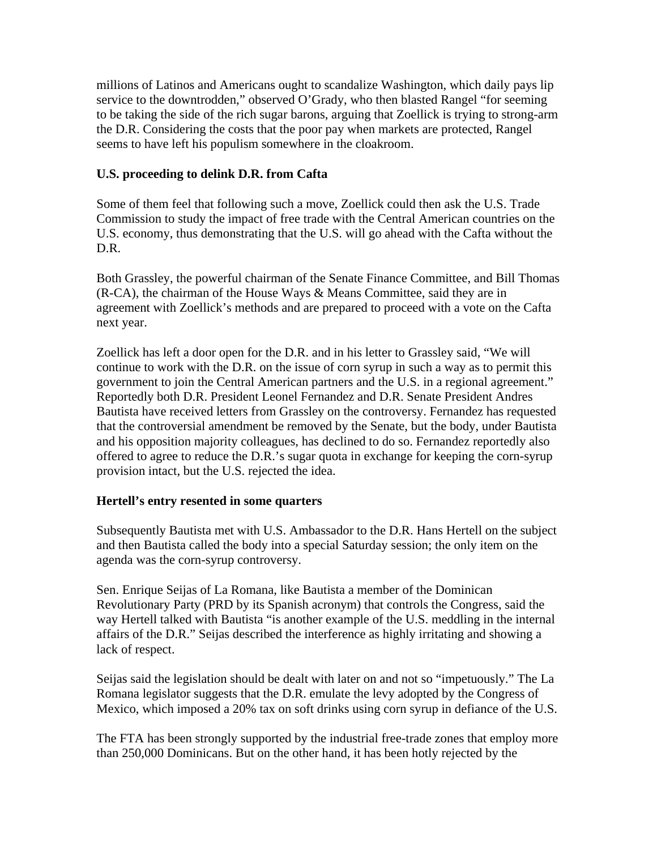millions of Latinos and Americans ought to scandalize Washington, which daily pays lip service to the downtrodden," observed O'Grady, who then blasted Rangel "for seeming to be taking the side of the rich sugar barons, arguing that Zoellick is trying to strong-arm the D.R. Considering the costs that the poor pay when markets are protected, Rangel seems to have left his populism somewhere in the cloakroom.

## **U.S. proceeding to delink D.R. from Cafta**

Some of them feel that following such a move, Zoellick could then ask the U.S. Trade Commission to study the impact of free trade with the Central American countries on the U.S. economy, thus demonstrating that the U.S. will go ahead with the Cafta without the D.R.

Both Grassley, the powerful chairman of the Senate Finance Committee, and Bill Thomas  $(R-CA)$ , the chairman of the House Ways & Means Committee, said they are in agreement with Zoellick's methods and are prepared to proceed with a vote on the Cafta next year.

Zoellick has left a door open for the D.R. and in his letter to Grassley said, "We will continue to work with the D.R. on the issue of corn syrup in such a way as to permit this government to join the Central American partners and the U.S. in a regional agreement." Reportedly both D.R. President Leonel Fernandez and D.R. Senate President Andres Bautista have received letters from Grassley on the controversy. Fernandez has requested that the controversial amendment be removed by the Senate, but the body, under Bautista and his opposition majority colleagues, has declined to do so. Fernandez reportedly also offered to agree to reduce the D.R.'s sugar quota in exchange for keeping the corn-syrup provision intact, but the U.S. rejected the idea.

## **Hertell's entry resented in some quarters**

Subsequently Bautista met with U.S. Ambassador to the D.R. Hans Hertell on the subject and then Bautista called the body into a special Saturday session; the only item on the agenda was the corn-syrup controversy.

Sen. Enrique Seijas of La Romana, like Bautista a member of the Dominican Revolutionary Party (PRD by its Spanish acronym) that controls the Congress, said the way Hertell talked with Bautista "is another example of the U.S. meddling in the internal affairs of the D.R." Seijas described the interference as highly irritating and showing a lack of respect.

Seijas said the legislation should be dealt with later on and not so "impetuously." The La Romana legislator suggests that the D.R. emulate the levy adopted by the Congress of Mexico, which imposed a 20% tax on soft drinks using corn syrup in defiance of the U.S.

The FTA has been strongly supported by the industrial free-trade zones that employ more than 250,000 Dominicans. But on the other hand, it has been hotly rejected by the